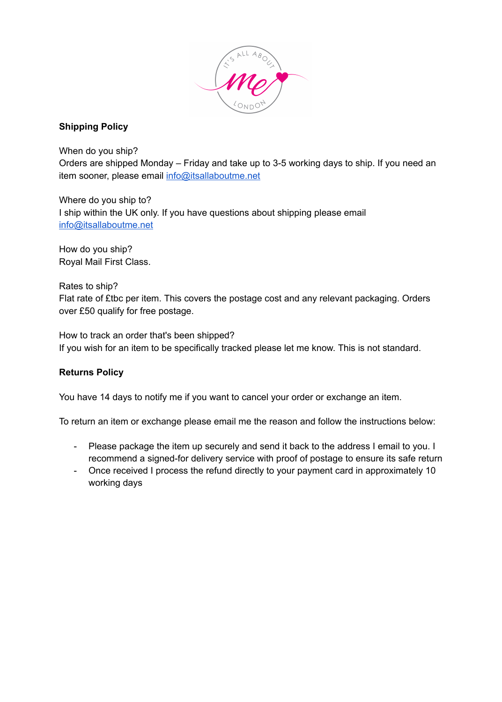

# **Shipping Policy**

Orders are shipped Monday – Friday and take up to 3-5 working days to ship. If you need an item sooner, please email info@itsallaboutme.net

When do you ship?

Where do you ship to? I ship within the UK only. If you have questions about shipping please email info@itsallaboutme.net

How do you ship? Royal Mail First Class.

Rates to ship?

Flat rate of £tbc per item. This covers the postage cost and any relevant packaging. Orders over £50 qualify for free postage.

How to track an order that's been shipped? If you wish for an item to be specifically tracked please let me know. This is not standard.

## **Returns Policy**

You have 14 days to notify me if you want to cancel your order or exchange an item.

To return an item or exchange please email me the reason and follow the instructions below:

- Please package the item up securely and send it back to the address I email to you. I recommend a signed-for delivery service with proof of postage to ensure its safe return
- Once received I process the refund directly to your payment card in approximately 10 working days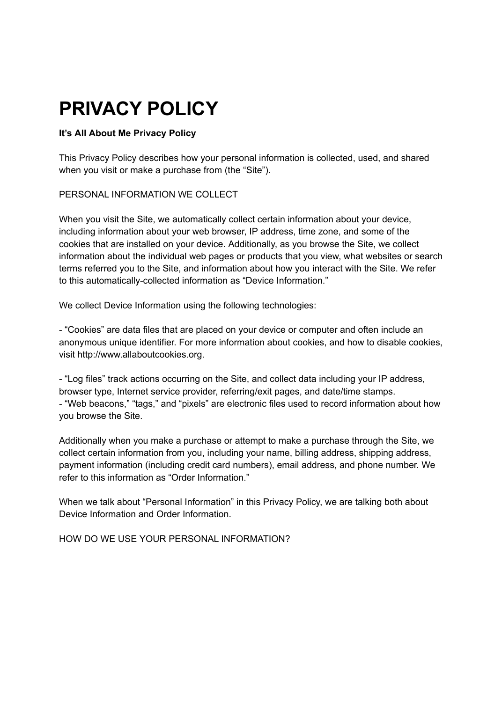# **PRIVACY POLICY**

# **It's All About Me Privacy Policy**

This Privacy Policy describes how your personal information is collected, used, and shared when you visit or make a purchase from (the "Site").

## PERSONAL INFORMATION WE COLLECT

When you visit the Site, we automatically collect certain information about your device, including information about your web browser, IP address, time zone, and some of the cookies that are installed on your device. Additionally, as you browse the Site, we collect information about the individual web pages or products that you view, what websites or search terms referred you to the Site, and information about how you interact with the Site. We refer to this automatically-collected information as "Device Information."

We collect Device Information using the following technologies:

- "Cookies" are data files that are placed on your device or computer and often include an anonymous unique identifier. For more information about cookies, and how to disable cookies, visit http://www.allaboutcookies.org.

- "Log files" track actions occurring on the Site, and collect data including your IP address, browser type, Internet service provider, referring/exit pages, and date/time stamps. - "Web beacons," "tags," and "pixels" are electronic files used to record information about how you browse the Site.

Additionally when you make a purchase or attempt to make a purchase through the Site, we collect certain information from you, including your name, billing address, shipping address, payment information (including credit card numbers), email address, and phone number. We refer to this information as "Order Information."

When we talk about "Personal Information" in this Privacy Policy, we are talking both about Device Information and Order Information.

## HOW DO WE USE YOUR PERSONAL INFORMATION?